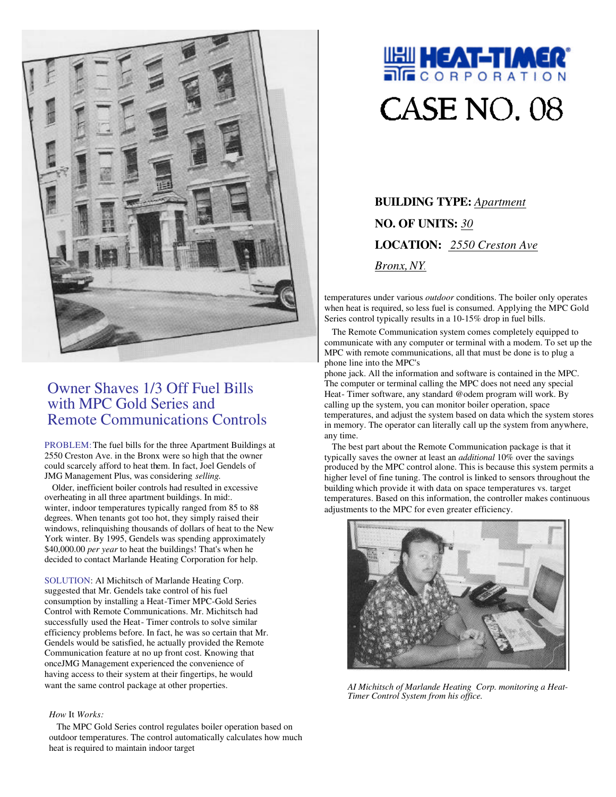

# Owner Shaves 1/3 Off Fuel Bills with MPC Gold Series and Remote Communications Controls

PROBLEM: The fuel bills for the three Apartment Buildings at 2550 Creston Ave. in the Bronx were so high that the owner could scarcely afford to heat them. In fact, Joel Gendels of JMG Management Plus, was considering *selling.*

Older, inefficient boiler controls had resulted in excessive overheating in all three apartment buildings. In mid:. winter, indoor temperatures typically ranged from 85 to 88 degrees. When tenants got too hot, they simply raised their windows, relinquishing thousands of dollars of heat to the New York winter. By 1995, Gendels was spending approximately \$40,000.00 *per year* to heat the buildings! That's when he decided to contact Marlande Heating Corporation for help.

SOLUTION: Al Michitsch of Marlande Heating Corp. suggested that Mr. Gendels take control of his fuel consumption by installing a Heat-Timer MPC-Gold Series Control with Remote Communications. Mr. Michitsch had successfully used the Heat- Timer controls to solve similar efficiency problems before. In fact, he was so certain that Mr. Gendels would be satisfied, he actually provided the Remote Communication feature at no up front cost. Knowing that onceJMG Management experienced the convenience of having access to their system at their fingertips, he would want the same control package at other properties.

### *How* It *Works:*

The MPC Gold Series control regulates boiler operation based on outdoor temperatures. The control automatically calculates how much heat is required to maintain indoor target



**BUILDING TYPE:** *Apartment* **NO. OF UNITS:** *30* **LOCATION:** *2550 Creston Ave Bronx,NY.*

temperatures under various *outdoor* conditions. The boiler only operates when heat is required, so less fuel is consumed. Applying the MPC Gold Series control typically results in a 10-15% drop in fuel bills.

The Remote Communication system comes completely equipped to communicate with any computer or terminal with a modem. To set up the MPC with remote communications, all that must be done is to plug a phone line into the MPC's

phone jack. All the information and software is contained in the MPC. The computer or terminal calling the MPC does not need any special Heat- Timer software, any standard @odem program will work. By calling up the system, you can monitor boiler operation, space temperatures, and adjust the system based on data which the system stores in memory. The operator can literally call up the system from anywhere, any time.

The best part about the Remote Communication package is that it typically saves the owner at least an *additional* 10% over the savings produced by the MPC control alone. This is because this system permits a higher level of fine tuning. The control is linked to sensors throughout the building which provide it with data on space temperatures vs. target temperatures. Based on this information, the controller makes continuous adjustments to the MPC for even greater efficiency.



*AI Michitsch of Marlande Heating Corp. monitoring a Heat-Timer Control System from his office.*